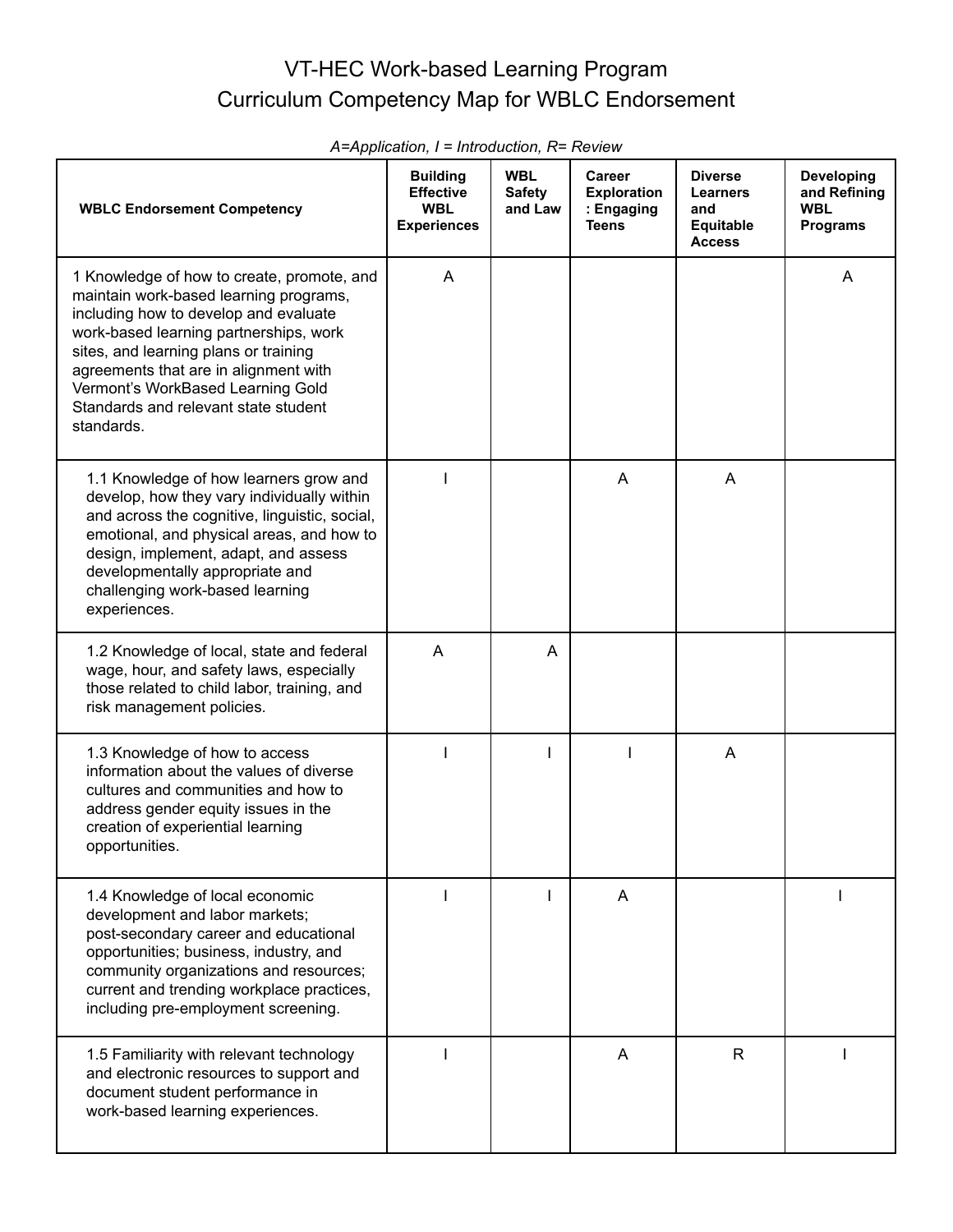## VT-HEC Work-based Learning Program Curriculum Competency Map for WBLC Endorsement

| <b>WBLC Endorsement Competency</b>                                                                                                                                                                                                                                                                                                                   | <b>Building</b><br><b>Effective</b><br><b>WBL</b><br><b>Experiences</b> | <b>WBL</b><br><b>Safety</b><br>and Law | <b>Career</b><br><b>Exploration</b><br>: Engaging<br><b>Teens</b> | <b>Diverse</b><br>Learners<br>and<br>Equitable<br><b>Access</b> | <b>Developing</b><br>and Refining<br><b>WBL</b><br><b>Programs</b> |
|------------------------------------------------------------------------------------------------------------------------------------------------------------------------------------------------------------------------------------------------------------------------------------------------------------------------------------------------------|-------------------------------------------------------------------------|----------------------------------------|-------------------------------------------------------------------|-----------------------------------------------------------------|--------------------------------------------------------------------|
| 1 Knowledge of how to create, promote, and<br>maintain work-based learning programs,<br>including how to develop and evaluate<br>work-based learning partnerships, work<br>sites, and learning plans or training<br>agreements that are in alignment with<br>Vermont's WorkBased Learning Gold<br>Standards and relevant state student<br>standards. | A                                                                       |                                        |                                                                   |                                                                 | A                                                                  |
| 1.1 Knowledge of how learners grow and<br>develop, how they vary individually within<br>and across the cognitive, linguistic, social,<br>emotional, and physical areas, and how to<br>design, implement, adapt, and assess<br>developmentally appropriate and<br>challenging work-based learning<br>experiences.                                     |                                                                         |                                        | A                                                                 | A                                                               |                                                                    |
| 1.2 Knowledge of local, state and federal<br>wage, hour, and safety laws, especially<br>those related to child labor, training, and<br>risk management policies.                                                                                                                                                                                     | A                                                                       | A                                      |                                                                   |                                                                 |                                                                    |
| 1.3 Knowledge of how to access<br>information about the values of diverse<br>cultures and communities and how to<br>address gender equity issues in the<br>creation of experiential learning<br>opportunities.                                                                                                                                       |                                                                         |                                        |                                                                   | A                                                               |                                                                    |
| 1.4 Knowledge of local economic<br>development and labor markets;<br>post-secondary career and educational<br>opportunities; business, industry, and<br>community organizations and resources;<br>current and trending workplace practices,<br>including pre-employment screening.                                                                   |                                                                         |                                        | A                                                                 |                                                                 |                                                                    |
| 1.5 Familiarity with relevant technology<br>and electronic resources to support and<br>document student performance in<br>work-based learning experiences.                                                                                                                                                                                           |                                                                         |                                        | A                                                                 | R.                                                              |                                                                    |

*A=Application, I = Introduction, R= Review*